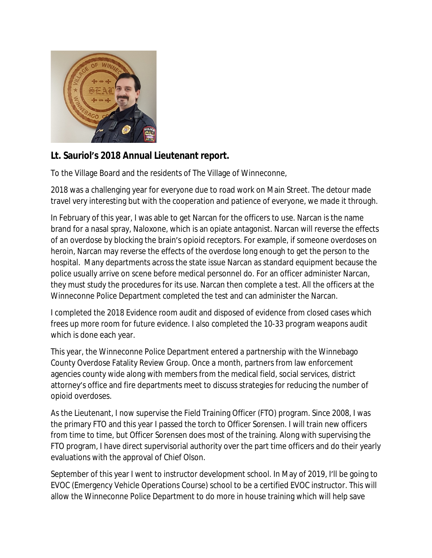

## **Lt. Sauriol's 2018 Annual Lieutenant report.**

To the Village Board and the residents of The Village of Winneconne,

2018 was a challenging year for everyone due to road work on Main Street. The detour made travel very interesting but with the cooperation and patience of everyone, we made it through.

In February of this year, I was able to get Narcan for the officers to use. Narcan is the name brand for a nasal spray, Naloxone, which is an opiate antagonist. Narcan will reverse the effects of an overdose by blocking the brain's opioid receptors. For example, if someone overdoses on heroin, Narcan may reverse the effects of the overdose long enough to get the person to the hospital. Many departments across the state issue Narcan as standard equipment because the police usually arrive on scene before medical personnel do. For an officer administer Narcan, they must study the procedures for its use. Narcan then complete a test. All the officers at the Winneconne Police Department completed the test and can administer the Narcan.

I completed the 2018 Evidence room audit and disposed of evidence from closed cases which frees up more room for future evidence. I also completed the 10-33 program weapons audit which is done each year.

This year, the Winneconne Police Department entered a partnership with the Winnebago County Overdose Fatality Review Group. Once a month, partners from law enforcement agencies county wide along with members from the medical field, social services, district attorney's office and fire departments meet to discuss strategies for reducing the number of opioid overdoses.

As the Lieutenant, I now supervise the Field Training Officer (FTO) program. Since 2008, I was the primary FTO and this year I passed the torch to Officer Sorensen. I will train new officers from time to time, but Officer Sorensen does most of the training. Along with supervising the FTO program, I have direct supervisorial authority over the part time officers and do their yearly evaluations with the approval of Chief Olson.

September of this year I went to instructor development school. In May of 2019, I'll be going to EVOC (Emergency Vehicle Operations Course) school to be a certified EVOC instructor. This will allow the Winneconne Police Department to do more in house training which will help save